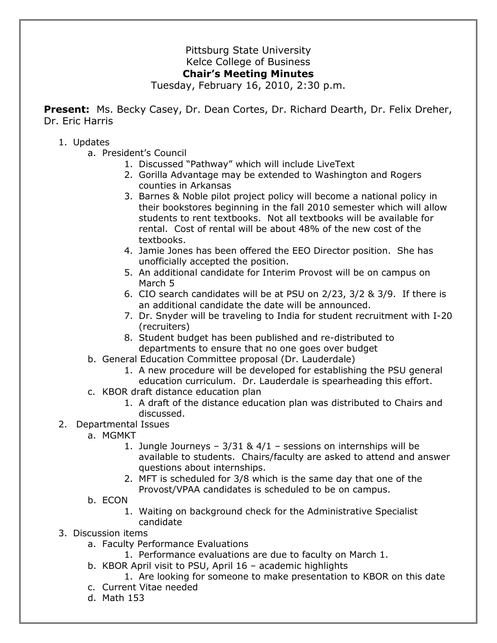## Pittsburg State University Kelce College of Business **Chair's Meeting Minutes**

Tuesday, February 16, 2010, 2:30 p.m.

**Present:** Ms. Becky Casey, Dr. Dean Cortes, Dr. Richard Dearth, Dr. Felix Dreher, Dr. Eric Harris

- 1. Updates
	- a. President's Council
		- 1. Discussed "Pathway" which will include LiveText
		- 2. Gorilla Advantage may be extended to Washington and Rogers counties in Arkansas
		- 3. Barnes & Noble pilot project policy will become a national policy in their bookstores beginning in the fall 2010 semester which will allow students to rent textbooks. Not all textbooks will be available for rental. Cost of rental will be about 48% of the new cost of the textbooks.
		- 4. Jamie Jones has been offered the EEO Director position. She has unofficially accepted the position.
		- 5. An additional candidate for Interim Provost will be on campus on March 5
		- 6. CIO search candidates will be at PSU on 2/23, 3/2 & 3/9. If there is an additional candidate the date will be announced.
		- 7. Dr. Snyder will be traveling to India for student recruitment with I-20 (recruiters)
		- 8. Student budget has been published and re-distributed to departments to ensure that no one goes over budget
	- b. General Education Committee proposal (Dr. Lauderdale)
		- 1. A new procedure will be developed for establishing the PSU general education curriculum. Dr. Lauderdale is spearheading this effort.
	- c. KBOR draft distance education plan
		- 1. A draft of the distance education plan was distributed to Chairs and discussed.
- 2. Departmental Issues
	- a. MGMKT
		- 1. Jungle Journeys  $3/31$  &  $4/1$  sessions on internships will be available to students. Chairs/faculty are asked to attend and answer questions about internships.
		- 2. MFT is scheduled for 3/8 which is the same day that one of the Provost/VPAA candidates is scheduled to be on campus.
	- b. ECON
		- 1. Waiting on background check for the Administrative Specialist
		- candidate
- 3. Discussion items
	- a. Faculty Performance Evaluations
		- 1. Performance evaluations are due to faculty on March 1.
	- b. KBOR April visit to PSU, April 16 academic highlights
		- 1. Are looking for someone to make presentation to KBOR on this date
	- c. Current Vitae needed
	- d. Math 153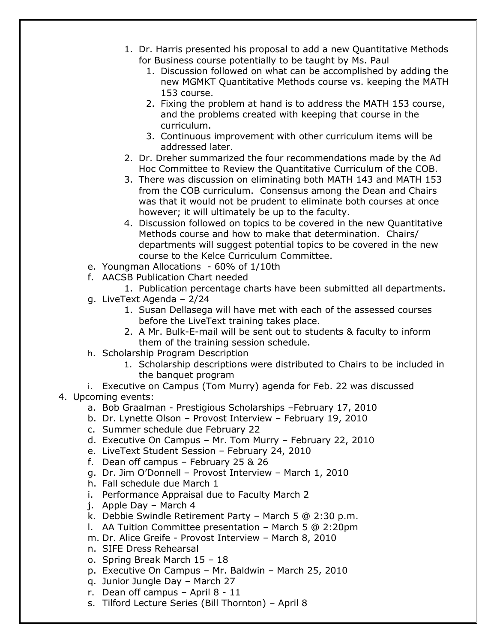- 1. Dr. Harris presented his proposal to add a new Quantitative Methods for Business course potentially to be taught by Ms. Paul
	- 1. Discussion followed on what can be accomplished by adding the new MGMKT Quantitative Methods course vs. keeping the MATH 153 course.
	- 2. Fixing the problem at hand is to address the MATH 153 course, and the problems created with keeping that course in the curriculum.
	- 3. Continuous improvement with other curriculum items will be addressed later.
- 2. Dr. Dreher summarized the four recommendations made by the Ad Hoc Committee to Review the Quantitative Curriculum of the COB.
- 3. There was discussion on eliminating both MATH 143 and MATH 153 from the COB curriculum. Consensus among the Dean and Chairs was that it would not be prudent to eliminate both courses at once however; it will ultimately be up to the faculty.
- 4. Discussion followed on topics to be covered in the new Quantitative Methods course and how to make that determination. Chairs/ departments will suggest potential topics to be covered in the new course to the Kelce Curriculum Committee.
- e. Youngman Allocations 60% of 1/10th
- f. AACSB Publication Chart needed
	- 1. Publication percentage charts have been submitted all departments.
- g. LiveText Agenda 2/24
	- 1. Susan Dellasega will have met with each of the assessed courses before the LiveText training takes place.
	- 2. A Mr. Bulk-E-mail will be sent out to students & faculty to inform them of the training session schedule.
- h. Scholarship Program Description
	- 1. Scholarship descriptions were distributed to Chairs to be included in the banquet program
- i. Executive on Campus (Tom Murry) agenda for Feb. 22 was discussed
- 4. Upcoming events:
	- a. Bob Graalman Prestigious Scholarships –February 17, 2010
	- b. Dr. Lynette Olson Provost Interview February 19, 2010
	- c. Summer schedule due February 22
	- d. Executive On Campus Mr. Tom Murry February 22, 2010
	- e. LiveText Student Session February 24, 2010
	- f. Dean off campus February 25 & 26
	- g. Dr. Jim O'Donnell Provost Interview March 1, 2010
	- h. Fall schedule due March 1
	- i. Performance Appraisal due to Faculty March 2
	- j. Apple Day March 4
	- k. Debbie Swindle Retirement Party March 5 @ 2:30 p.m.
	- l. AA Tuition Committee presentation March 5 @ 2:20pm
	- m. Dr. Alice Greife Provost Interview March 8, 2010
	- n. SIFE Dress Rehearsal
	- o. Spring Break March 15 18
	- p. Executive On Campus Mr. Baldwin March 25, 2010
	- q. Junior Jungle Day March 27
	- r. Dean off campus April 8 11
	- s. Tilford Lecture Series (Bill Thornton) April 8